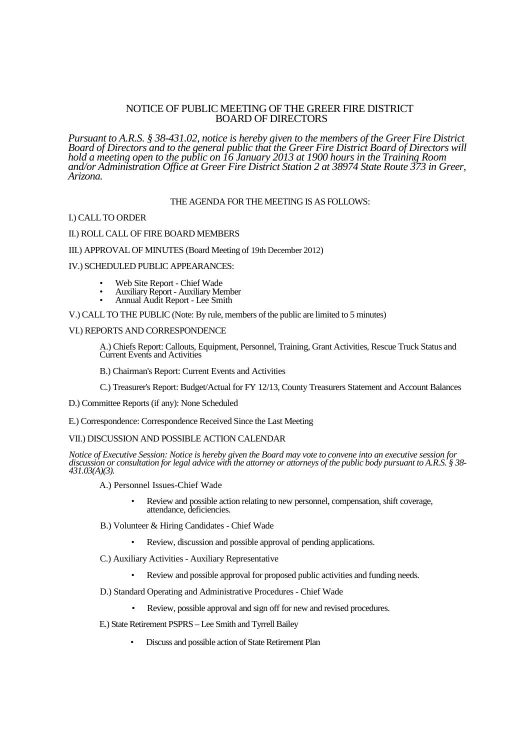# NOTICE OF PUBLIC MEETING OF THE GREER FIRE DISTRICT BOARD OF DIRECTORS

*Pursuant to A.R.S. § 38-431.02, notice is hereby given to the members of the Greer Fire District Board of Directors and to the general public that the Greer Fire District Board of Directors will hold a meeting open to the public on 16 January 2013 at 1900 hours in the Training Room and/or Administration Office at Greer Fire District Station 2 at 38974 State Route 373 in Greer, Arizona.*

# THE AGENDA FOR THE MEETING IS AS FOLLOWS:

### I.) CALL TO ORDER

### II.) ROLL CALL OF FIRE BOARD MEMBERS

### III.) APPROVAL OF MINUTES (Board Meeting of 19th December 2012)

### IV.) SCHEDULED PUBLIC APPEARANCES:

- Web Site Report Chief Wade
- Auxiliary Report Auxiliary Member
- Annual Audit Report Lee Smith

#### V.) CALL TO THE PUBLIC (Note: By rule, members of the public are limited to 5 minutes)

# VI.) REPORTS AND CORRESPONDENCE

A.) Chiefs Report: Callouts, Equipment, Personnel, Training, Grant Activities, Rescue Truck Status and Current Events and Activities

B.) Chairman's Report: Current Events and Activities

C.) Treasurer's Report: Budget/Actual for FY 12/13, County Treasurers Statement and Account Balances

D.) Committee Reports (if any): None Scheduled

E.) Correspondence: Correspondence Received Since the Last Meeting

# VII.) DISCUSSION AND POSSIBLE ACTION CALENDAR

*Notice of Executive Session: Notice is hereby given the Board may vote to convene into an executive session for discussion or consultation for legal advice with the attorney or attorneys of the public body pursuant to A.R.S. § 38- 431.03(A)(3).*

- A.) Personnel Issues-Chief Wade
	- Review and possible action relating to new personnel, compensation, shift coverage, attendance, deficiencies.
- B.) Volunteer & Hiring Candidates Chief Wade
	- Review, discussion and possible approval of pending applications.
- C.) Auxiliary Activities Auxiliary Representative
	- Review and possible approval for proposed public activities and funding needs.
- D.) Standard Operating and Administrative Procedures Chief Wade
	- Review, possible approval and sign off for new and revised procedures.
- E.) State Retirement PSPRS Lee Smith and Tyrrell Bailey
	- Discuss and possible action of State Retirement Plan